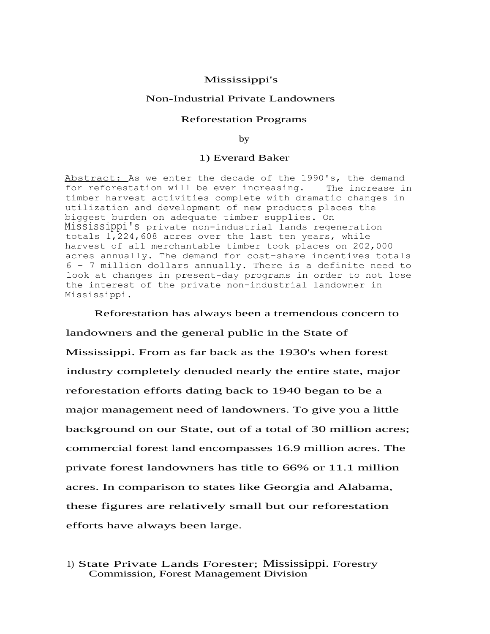## Mississippi's

### Non-Industrial Private Landowners

### Reforestation Programs

by

### 1) Everard Baker

Abstract: As we enter the decade of the 1990's, the demand for reforestation will be ever increasing. The increase in timber harvest activities complete with dramatic changes in utilization and development of new products places the biggest burden on adequate timber supplies. On Mississippi's private non-industrial lands regeneration totals  $1,224,608$  acres over the last ten years, while harvest of all merchantable timber took places on 202,000 acres annually. The demand for cost-share incentives totals 6 - 7 million dollars annually. There is a definite need to look at changes in present-day programs in order to not lose the interest of the private non-industrial landowner in Mississippi.

Reforestation has always been a tremendous concern to landowners and the general public in the State of Mississippi. From as far back as the 1930's when forest industry completely denuded nearly the entire state, major reforestation efforts dating back to 1940 began to be a major management need of landowners. To give you a little background on our State, out of a total of 30 million acres; commercial forest land encompasses 16.9 million acres. The private forest landowners has title to 66% or 11.1 million acres. In comparison to states like Georgia and Alabama, these figures are relatively small but our reforestation efforts have always been large.

# 1) State Private Lands Forester; Mississippi. Forestry Commission, Forest Management Division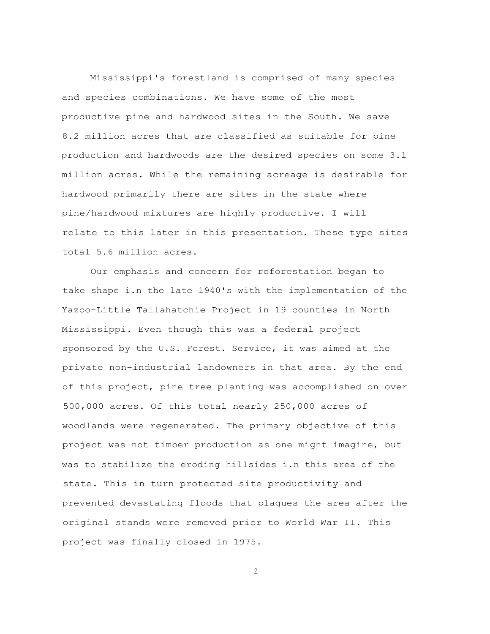Mississippi's forestland is comprised of many species and species combinations. We have some of the most productive pine and hardwood sites in the South. We save 8.2 million acres that are classified as suitable for pine production and hardwoods are the desired species on some 3.1 million acres. While the remaining acreage is desirable for hardwood primarily there are sites in the state where pine/hardwood mixtures are highly productive. I will relate to this later in this presentation. These type sites total 5.6 million acres.

Our emphasis and concern for reforestation began to take shape i.n the late 1940's with the implementation of the Yazoo-Little Tallahatchie Project in 19 counties in North Mississippi. Even though this was a federal project sponsored by the U.S. Forest. Service, it was aimed at the private non-industrial landowners in that area. By the end of this project, pine tree planting was accomplished on over 500,000 acres. Of this total nearly 250,000 acres of woodlands were regenerated. The primary objective of this project was not timber production as one might imagine, but was to stabilize the eroding hillsides i.n this area of the state. This in turn protected site productivity and prevented devastating floods that plagues the area after the original stands were removed prior to World War II. This project was finally closed in 1975.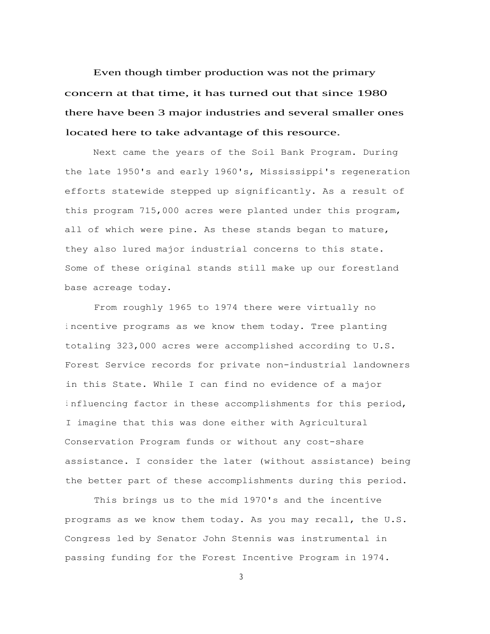Even though timber production was not the primary concern at that time, it has turned out that since 1980 there have been 3 major industries and several smaller ones located here to take advantage of this resource.

Next came the years of the Soil Bank Program. During the late 1950's and early 1960's, Mississippi's regeneration efforts statewide stepped up significantly. As a result of this program 715,000 acres were planted under this program, all of which were pine. As these stands began to mature, they also lured major industrial concerns to this state. Some of these original stands still make up our forestland base acreage today.

From roughly 1965 to 1974 there were virtually no <sup>i</sup> ncentive programs as we know them today. Tree planting totaling 323,000 acres were accomplished according to U.S. Forest Service records for private non-industrial landowners in this State. While I can find no evidence of a major <sup>i</sup> nfluencing factor in these accomplishments for this period, I imagine that this was done either with Agricultural Conservation Program funds or without any cost-share assistance. I consider the later (without assistance) being the better part of these accomplishments during this period.

This brings us to the mid 1970's and the incentive programs as we know them today. As you may recall, the U.S. Congress led by Senator John Stennis was instrumental in passing funding for the Forest Incentive Program in 1974.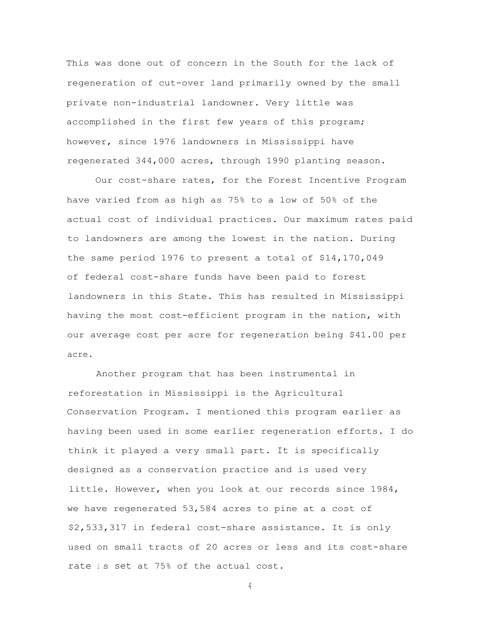This was done out of concern in the South for the lack of regeneration of cut-over land primarily owned by the small private non-industrial landowner. Very little was accomplished in the first few years of this program; however, since 1976 landowners in Mississippi have regenerated 344,000 acres, through 1990 planting season.

Our cost-share rates, for the Forest Incentive Program have varied from as high as 75% to a low of 50% of the actual cost of individual practices. Our maximum rates paid to landowners are among the lowest in the nation. During the same period 1976 to present a total of \$14,170,049 of federal cost-share funds have been paid to forest landowners in this State. This has resulted in Mississippi having the most cost-efficient program in the nation, with our average cost per acre for regeneration being \$41.00 per acre.

Another program that has been instrumental in reforestation in Mississippi is the Agricultural Conservation Program. I mentioned this program earlier as having been used in some earlier regeneration efforts. I do think it played a very small part. It is specifically designed as a conservation practice and is used very little. However, when you look at our records since 1984, we have regenerated 53,584 acres to pine at a cost of \$2,533,317 in federal cost-share assistance. It is only used on small tracts of 20 acres or less and its cost-share rate is set at 75% of the actual cost.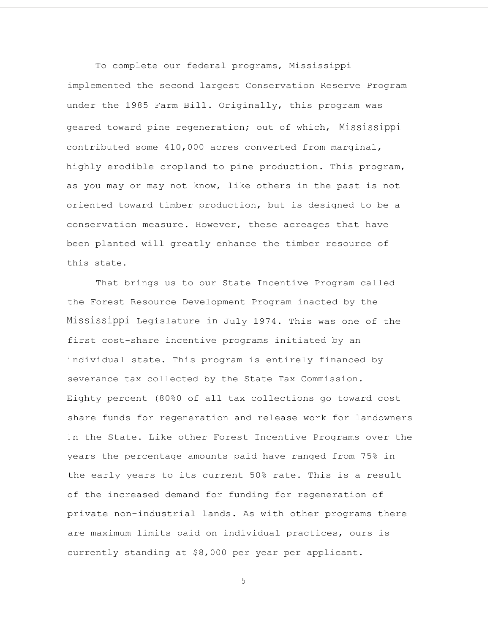To complete our federal programs, Mississippi implemented the second largest Conservation Reserve Program under the 1985 Farm Bill. Originally, this program was geared toward pine regeneration; out of which, Mississippi contributed some 410,000 acres converted from marginal, highly erodible cropland to pine production. This program, as you may or may not know, like others in the past is not oriented toward timber production, but is designed to be a conservation measure. However, these acreages that have been planted will greatly enhance the timber resource of this state.

That brings us to our State Incentive Program called the Forest Resource Development Program inacted by the Mississippi Legislature in July 1974. This was one of the first cost-share incentive programs initiated by an <sup>i</sup> ndividual state. This program is entirely financed by severance tax collected by the State Tax Commission. Eighty percent (80%0 of all tax collections go toward cost share funds for regeneration and release work for landowners in the State. Like other Forest Incentive Programs over the years the percentage amounts paid have ranged from 75% in the early years to its current 50% rate. This is a result of the increased demand for funding for regeneration of private non-industrial lands. As with other programs there are maximum limits paid on individual practices, ours is currently standing at \$8,000 per year per applicant.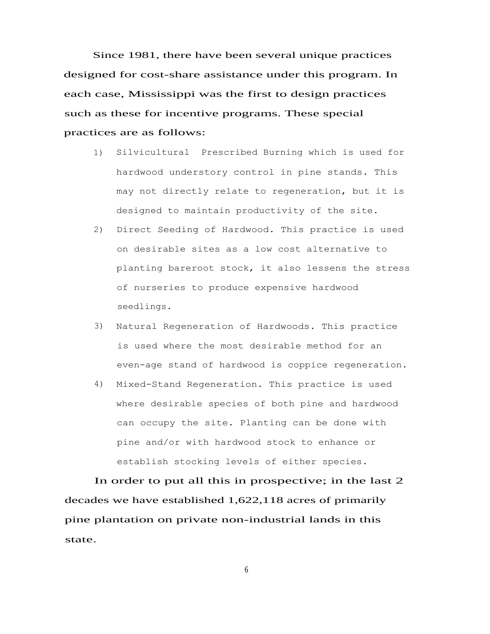Since 1981, there have been several unique practices designed for cost-share assistance under this program. In each case, Mississippi was the first to design practices such as these for incentive programs. These special practices are as follows:

- 1) Silvicultural Prescribed Burning which is used for hardwood understory control in pine stands. This may not directly relate to regeneration, but it is designed to maintain productivity of the site.
- 2) Direct Seeding of Hardwood. This practice is used on desirable sites as a low cost alternative to planting bareroot stock, it also lessens the stress of nurseries to produce expensive hardwood seedlings.
- 3) Natural Regeneration of Hardwoods. This practice is used where the most desirable method for an even-age stand of hardwood is coppice regeneration.
- 4) Mixed-Stand Regeneration. This practice is used where desirable species of both pine and hardwood can occupy the site. Planting can be done with pine and/or with hardwood stock to enhance or establish stocking levels of either species.

In order to put all this in prospective; in the last 2 decades we have established 1,622,118 acres of primarily pine plantation on private non-industrial lands in this state.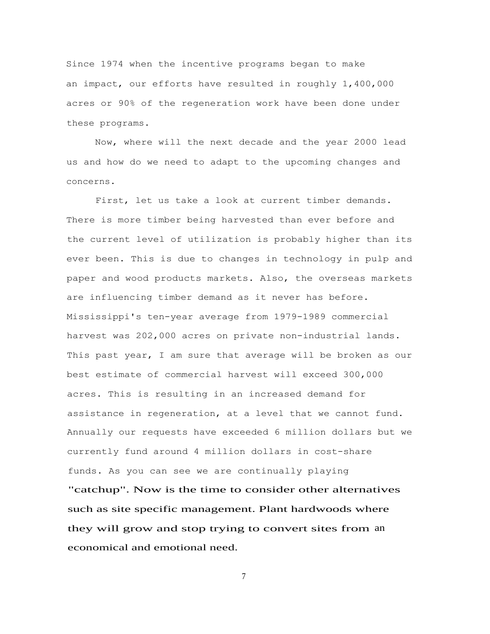Since 1974 when the incentive programs began to make an impact, our efforts have resulted in roughly 1,400,000 acres or 90% of the regeneration work have been done under these programs.

Now, where will the next decade and the year 2000 lead us and how do we need to adapt to the upcoming changes and concerns.

First, let us take a look at current timber demands. There is more timber being harvested than ever before and the current level of utilization is probably higher than its ever been. This is due to changes in technology in pulp and paper and wood products markets. Also, the overseas markets are influencing timber demand as it never has before. Mississippi's ten-year average from 1979-1989 commercial harvest was 202,000 acres on private non-industrial lands. This past year, I am sure that average will be broken as our best estimate of commercial harvest will exceed 300,000 acres. This is resulting in an increased demand for assistance in regeneration, at a level that we cannot fund. Annually our requests have exceeded 6 million dollars but we currently fund around 4 million dollars in cost-share funds. As you can see we are continually playing "catchup". Now is the time to consider other alternatives such as site specific management. Plant hardwoods where they will grow and stop trying to convert sites from an economical and emotional need.